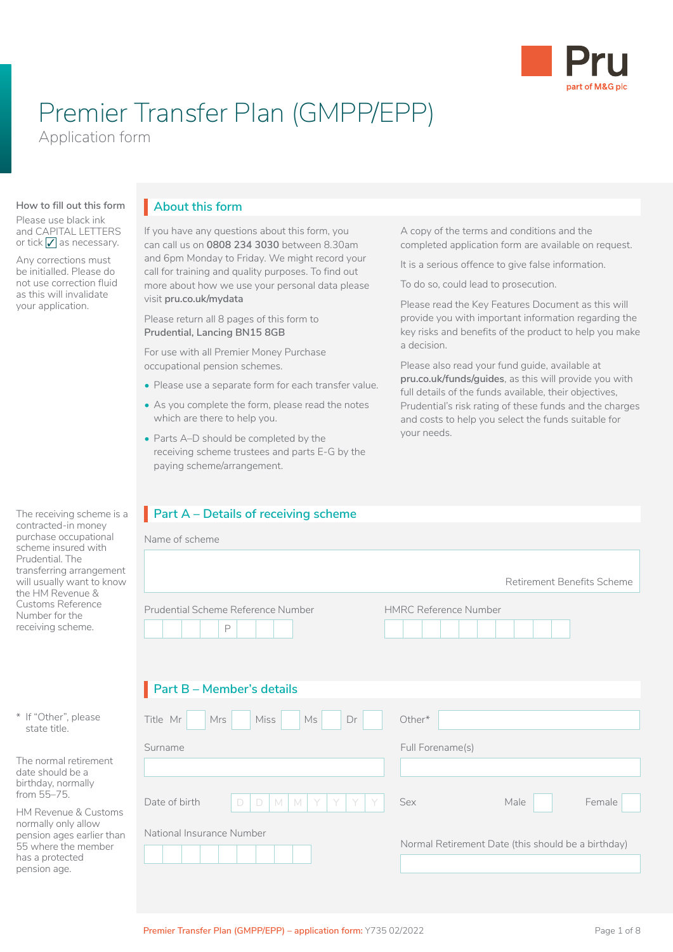

# Premier Transfer Plan (GMPP/EPP)

Application form

#### **How to fill out this form**

Please use black ink and CAPITAL LETTERS or tick  $\sqrt{\ }$  as necessary.

Any corrections must be initialled. Please do not use correction fluid as this will invalidate your application.

#### The receiving scheme is a contracted-in money purchase occupational scheme insured with Prudential. The transferring arrangement will usually want to know the HM Revenue & Customs Reference Number for the receiving scheme.

| * If "Other", please |
|----------------------|
| state title.         |

The normal retirement date should be a birthday, normally from 55–75.

HM Revenue & Customs normally only allow pension ages earlier than 55 where the member has a protected pension age.

# **About this form** I

If you have any questions about this form, you can call us on **0808 234 3030** between 8.30am and 6pm Monday to Friday. We might record your call for training and quality purposes. To find out more about how we use your personal data please visit **[pru.co.uk/mydata](https://www.pru.co.uk/mydata)**

Please return all 8 pages of this form to **Prudential, Lancing BN15 8GB**

For use with all Premier Money Purchase occupational pension schemes.

- Please use a separate form for each transfer value.
- As you complete the form, please read the notes which are there to help you.
- Parts A–D should be completed by the receiving scheme trustees and parts E-G by the paying scheme/arrangement.

# **Part A – Details of receiving scheme**

| Name of scheme                          |                                                    |
|-----------------------------------------|----------------------------------------------------|
|                                         | Retirement Benefits Scheme                         |
| Prudential Scheme Reference Number<br>P | <b>HMRC Reference Number</b>                       |
| Part B - Member's details               |                                                    |
| Title Mr<br>Ms<br>Mrs<br>Miss<br>Dr     | Other*                                             |
| Surname                                 | Full Forename(s)                                   |
|                                         |                                                    |
| Date of birth<br>M<br>M<br>D<br>D<br>Y  | Female<br>Sex<br>Male                              |
| National Insurance Number               | Normal Retirement Date (this should be a birthday) |

A copy of the terms and conditions and the completed application form are available on request.

It is a serious offence to give false information.

To do so, could lead to prosecution.

Please read the Key Features Document as this will provide you with important information regarding the key risks and benefits of the product to help you make a decision.

Please also read your fund guide, available at **[pru.co.uk/funds/guides](https://www.pru.co.uk/funds/guides)**, as this will provide you with full details of the funds available, their objectives, Prudential's risk rating of these funds and the charges and costs to help you select the funds suitable for your needs.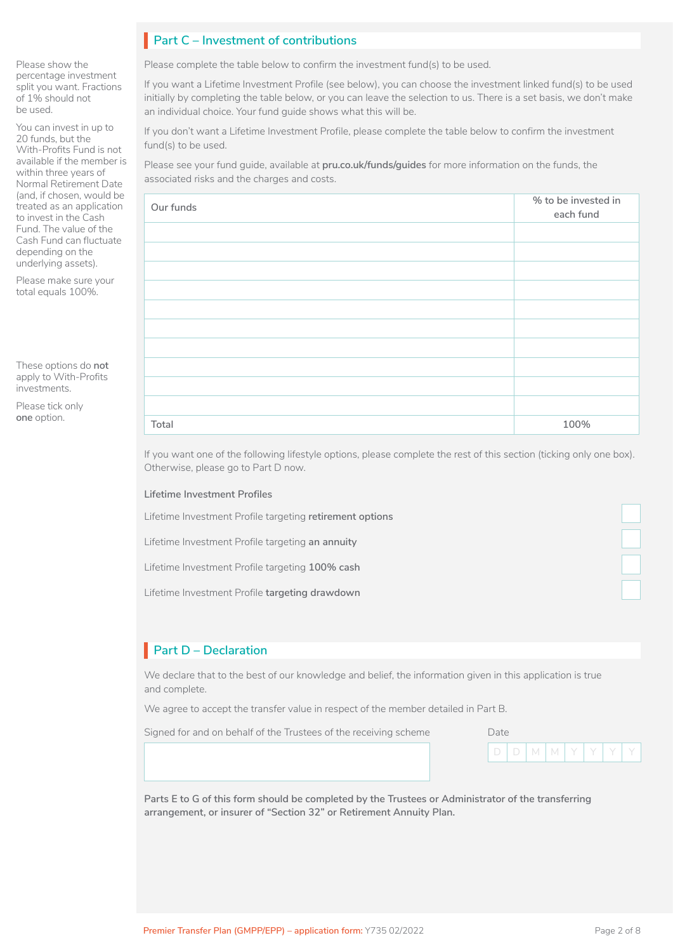# **Part C – Investment of contributions** I

Please show the percentage investment split you want. Fractions of 1% should not be used.

You can invest in up to 20 funds, but the With-Profits Fund is not available if the member is within three years of Normal Retirement Date (and, if chosen, would be treated as an application to invest in the Cash Fund. The value of the Cash Fund can fluctuate depending on the underlying assets).

Please make sure your total equals 100%.

These options do **not** apply to With-Profits investments.

Please tick only **one** option.

Please complete the table below to confirm the investment fund(s) to be used.

If you want a Lifetime Investment Profile (see below), you can choose the investment linked fund(s) to be used initially by completing the table below, or you can leave the selection to us. There is a set basis, we don't make an individual choice. Your fund guide shows what this will be.

If you don't want a Lifetime Investment Profile, please complete the table below to confirm the investment fund(s) to be used.

Please see your fund guide, available at **[pru.co.uk/funds/guides](https://www.pru.co.uk/funds/guides)** for more information on the funds, the associated risks and the charges and costs.

| Our funds | % to be invested in<br>each fund |
|-----------|----------------------------------|
|           |                                  |
|           |                                  |
|           |                                  |
|           |                                  |
|           |                                  |
|           |                                  |
|           |                                  |
|           |                                  |
|           |                                  |
|           |                                  |
| Total     | 100%                             |

If you want one of the following lifestyle options, please complete the rest of this section (ticking only one box). Otherwise, please go to Part D now.

**Lifetime Investment Profiles**

Lifetime Investment Profile targeting **retirement options**

Lifetime Investment Profile targeting **an annuity**

Lifetime Investment Profile targeting **100% cash**

Lifetime Investment Profile **targeting drawdown**

# **Part D – Declaration** I

We declare that to the best of our knowledge and belief, the information given in this application is true and complete.

We agree to accept the transfer value in respect of the member detailed in Part B.

Signed for and on behalf of the Trustees of the receiving scheme

| Dale. |   |     |  |  |
|-------|---|-----|--|--|
|       | M | I M |  |  |

**Parts E to G of this form should be completed by the Trustees or Administrator of the transferring arrangement, or insurer of "Section 32" or Retirement Annuity Plan.**

 $\Box$ 

LJ  $\Box$ 

 $\Box$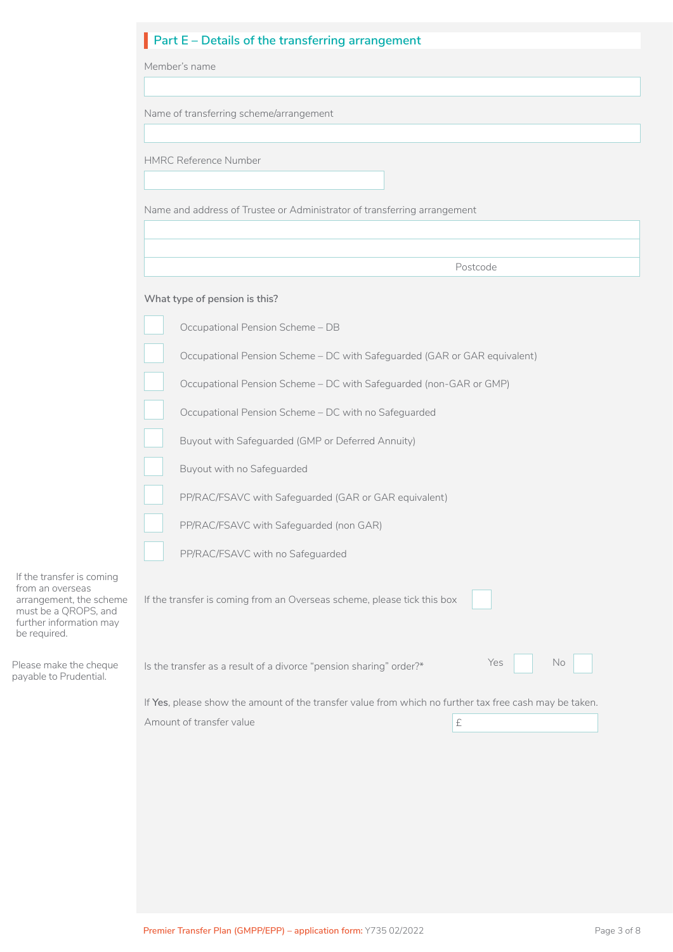|                                                                                                                                             | Part $E$ – Details of the transferring arrangement                                                     |  |  |  |  |  |  |  |  |  |
|---------------------------------------------------------------------------------------------------------------------------------------------|--------------------------------------------------------------------------------------------------------|--|--|--|--|--|--|--|--|--|
|                                                                                                                                             | Member's name                                                                                          |  |  |  |  |  |  |  |  |  |
|                                                                                                                                             |                                                                                                        |  |  |  |  |  |  |  |  |  |
|                                                                                                                                             | Name of transferring scheme/arrangement                                                                |  |  |  |  |  |  |  |  |  |
|                                                                                                                                             |                                                                                                        |  |  |  |  |  |  |  |  |  |
|                                                                                                                                             | <b>HMRC Reference Number</b>                                                                           |  |  |  |  |  |  |  |  |  |
|                                                                                                                                             |                                                                                                        |  |  |  |  |  |  |  |  |  |
|                                                                                                                                             | Name and address of Trustee or Administrator of transferring arrangement                               |  |  |  |  |  |  |  |  |  |
|                                                                                                                                             |                                                                                                        |  |  |  |  |  |  |  |  |  |
|                                                                                                                                             | Postcode                                                                                               |  |  |  |  |  |  |  |  |  |
|                                                                                                                                             | What type of pension is this?                                                                          |  |  |  |  |  |  |  |  |  |
|                                                                                                                                             | Occupational Pension Scheme - DB                                                                       |  |  |  |  |  |  |  |  |  |
|                                                                                                                                             | Occupational Pension Scheme - DC with Safeguarded (GAR or GAR equivalent)                              |  |  |  |  |  |  |  |  |  |
|                                                                                                                                             | Occupational Pension Scheme - DC with Safeguarded (non-GAR or GMP)                                     |  |  |  |  |  |  |  |  |  |
|                                                                                                                                             | Occupational Pension Scheme - DC with no Safeguarded                                                   |  |  |  |  |  |  |  |  |  |
|                                                                                                                                             | Buyout with Safeguarded (GMP or Deferred Annuity)                                                      |  |  |  |  |  |  |  |  |  |
|                                                                                                                                             | Buyout with no Safeguarded                                                                             |  |  |  |  |  |  |  |  |  |
|                                                                                                                                             | PP/RAC/FSAVC with Safeguarded (GAR or GAR equivalent)                                                  |  |  |  |  |  |  |  |  |  |
|                                                                                                                                             | PP/RAC/FSAVC with Safeguarded (non GAR)                                                                |  |  |  |  |  |  |  |  |  |
|                                                                                                                                             | PP/RAC/FSAVC with no Safeguarded                                                                       |  |  |  |  |  |  |  |  |  |
| If the transfer is coming<br>from an overseas<br>arrangement, the scheme<br>must be a QROPS, and<br>further information may<br>be required. | If the transfer is coming from an Overseas scheme, please tick this box                                |  |  |  |  |  |  |  |  |  |
| Please make the cheque<br>payable to Prudential.                                                                                            | Yes<br>No.<br>Is the transfer as a result of a divorce "pension sharing" order?*                       |  |  |  |  |  |  |  |  |  |
|                                                                                                                                             | If Yes, please show the amount of the transfer value from which no further tax free cash may be taken. |  |  |  |  |  |  |  |  |  |
|                                                                                                                                             | Amount of transfer value<br>£                                                                          |  |  |  |  |  |  |  |  |  |
|                                                                                                                                             |                                                                                                        |  |  |  |  |  |  |  |  |  |
|                                                                                                                                             |                                                                                                        |  |  |  |  |  |  |  |  |  |
|                                                                                                                                             |                                                                                                        |  |  |  |  |  |  |  |  |  |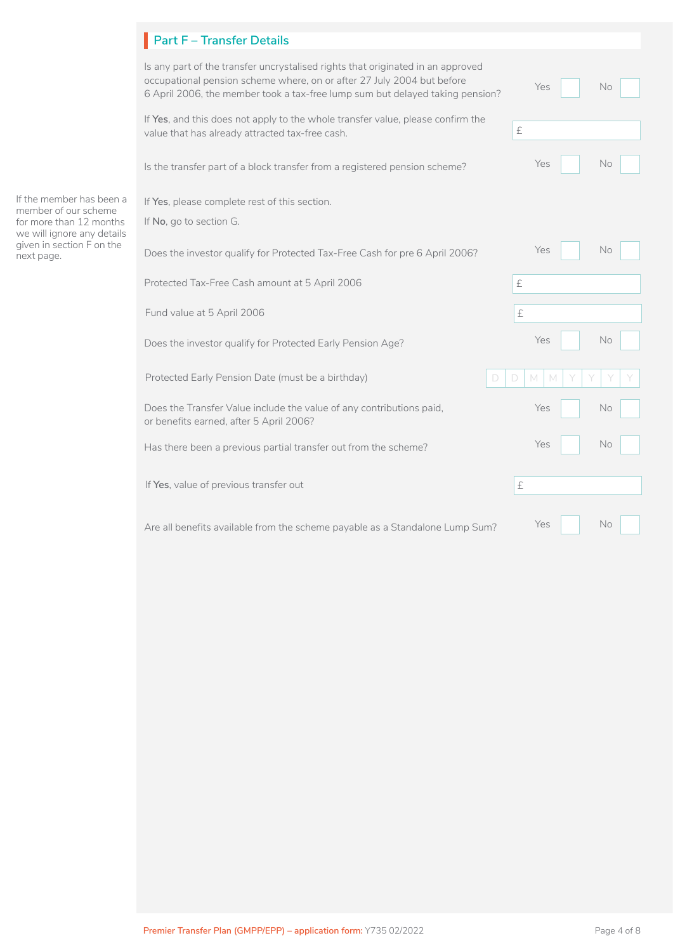# **Part F – Transfer Details** I

|                                                                       | Is any part of the transfer uncrystalised rights that originated in an approved<br>occupational pension scheme where, on or after 27 July 2004 but before<br>6 April 2006, the member took a tax-free lump sum but delayed taking pension? | Yes<br>No.                                |
|-----------------------------------------------------------------------|--------------------------------------------------------------------------------------------------------------------------------------------------------------------------------------------------------------------------------------------|-------------------------------------------|
|                                                                       | If Yes, and this does not apply to the whole transfer value, please confirm the<br>value that has already attracted tax-free cash.                                                                                                         | $\ensuremath{\mathop{\text{E}}\nolimits}$ |
|                                                                       | Is the transfer part of a block transfer from a registered pension scheme?                                                                                                                                                                 | Yes<br>No                                 |
| If the member has been a                                              | If Yes, please complete rest of this section.                                                                                                                                                                                              |                                           |
| member of our scheme<br>for more than 12 months                       | If No, go to section G.                                                                                                                                                                                                                    |                                           |
| we will ignore any details<br>given in section F on the<br>next page. | Does the investor qualify for Protected Tax-Free Cash for pre 6 April 2006?                                                                                                                                                                | Yes<br>No.                                |
|                                                                       | Protected Tax-Free Cash amount at 5 April 2006                                                                                                                                                                                             | £                                         |
|                                                                       | Fund value at 5 April 2006                                                                                                                                                                                                                 | $\pounds$                                 |
|                                                                       | Does the investor qualify for Protected Early Pension Age?                                                                                                                                                                                 | <b>No</b><br>Yes                          |
|                                                                       | Protected Early Pension Date (must be a birthday)<br>D                                                                                                                                                                                     | D<br>M                                    |
|                                                                       | Does the Transfer Value include the value of any contributions paid,<br>or benefits earned, after 5 April 2006?                                                                                                                            | Yes<br>No                                 |
|                                                                       | Has there been a previous partial transfer out from the scheme?                                                                                                                                                                            | Yes<br><b>No</b>                          |
|                                                                       | If Yes, value of previous transfer out                                                                                                                                                                                                     | £                                         |
|                                                                       | Are all benefits available from the scheme payable as a Standalone Lump Sum?                                                                                                                                                               | Yes<br>No.                                |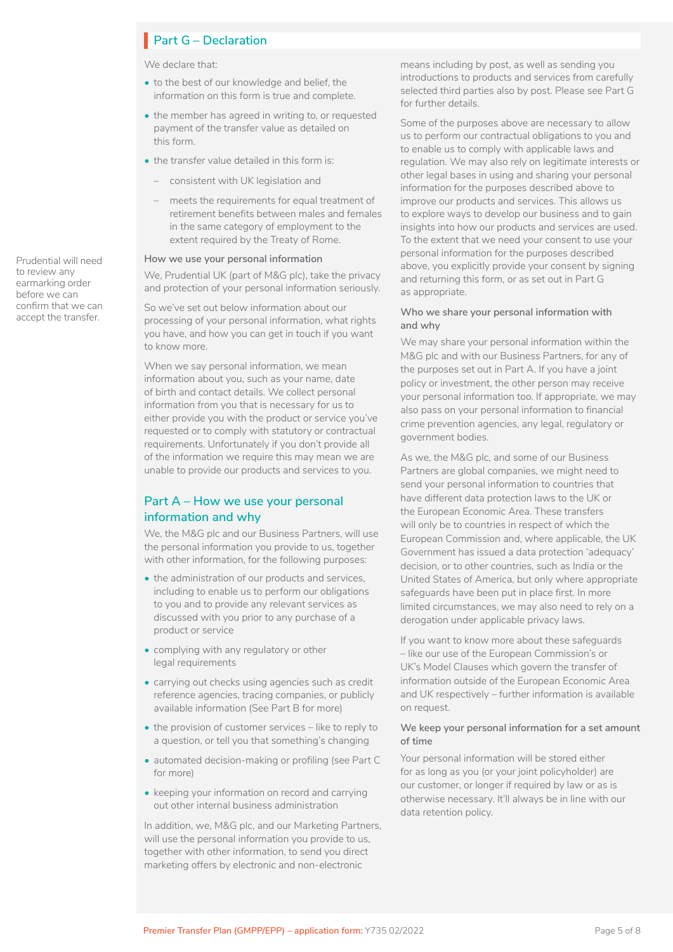# **Part G – Declaration**

We declare that:

- to the best of our knowledge and belief, the information on this form is true and complete.
- the member has agreed in writing to, or requested payment of the transfer value as detailed on this form.
- the transfer value detailed in this form is:
	- consistent with UK legislation and
	- meets the requirements for equal treatment of retirement benefits between males and females in the same category of employment to the extent required by the Treaty of Rome.

#### **How we use your personal information**

We, Prudential UK (part of M&G plc), take the privacy and protection of your personal information seriously.

So we've set out below information about our processing of your personal information, what rights you have, and how you can get in touch if you want to know more.

When we say personal information, we mean information about you, such as your name, date of birth and contact details. We collect personal information from you that is necessary for us to either provide you with the product or service you've requested or to comply with statutory or contractual requirements. Unfortunately if you don't provide all of the information we require this may mean we are unable to provide our products and services to you.

### **Part A – How we use your personal information and why**

We, the M&G plc and our Business Partners, will use the personal information you provide to us, together with other information, for the following purposes:

- the administration of our products and services. including to enable us to perform our obligations to you and to provide any relevant services as discussed with you prior to any purchase of a product or service
- complying with any regulatory or other legal requirements
- carrying out checks using agencies such as credit reference agencies, tracing companies, or publicly available information (See Part B for more)
- the provision of customer services like to reply to a question, or tell you that something's changing
- automated decision-making or profiling (see Part C for more)
- keeping your information on record and carrying out other internal business administration

In addition, we, M&G plc, and our Marketing Partners, will use the personal information you provide to us, together with other information, to send you direct marketing offers by electronic and non-electronic

means including by post, as well as sending you introductions to products and services from carefully selected third parties also by post. Please see Part G for further details.

Some of the purposes above are necessary to allow us to perform our contractual obligations to you and to enable us to comply with applicable laws and regulation. We may also rely on legitimate interests or other legal bases in using and sharing your personal information for the purposes described above to improve our products and services. This allows us to explore ways to develop our business and to gain insights into how our products and services are used. To the extent that we need your consent to use your personal information for the purposes described above, you explicitly provide your consent by signing and returning this form, or as set out in Part G as appropriate.

#### **Who we share your personal information with and why**

We may share your personal information within the M&G plc and with our Business Partners, for any of the purposes set out in Part A. If you have a joint policy or investment, the other person may receive your personal information too. If appropriate, we may also pass on your personal information to financial crime prevention agencies, any legal, regulatory or government bodies.

As we, the M&G plc, and some of our Business Partners are global companies, we might need to send your personal information to countries that have different data protection laws to the UK or the European Economic Area. These transfers will only be to countries in respect of which the European Commission and, where applicable, the UK Government has issued a data protection 'adequacy' decision, or to other countries, such as India or the United States of America, but only where appropriate safeguards have been put in place first. In more limited circumstances, we may also need to rely on a derogation under applicable privacy laws.

If you want to know more about these safeguards – like our use of the European Commission's or UK's Model Clauses which govern the transfer of information outside of the European Economic Area and UK respectively – further information is available on request.

#### **We keep your personal information for a set amount of time**

Your personal information will be stored either for as long as you (or your joint policyholder) are our customer, or longer if required by law or as is otherwise necessary. It'll always be in line with our data retention policy.

Prudential will need to review any earmarking order before we can confirm that we can accept the transfer.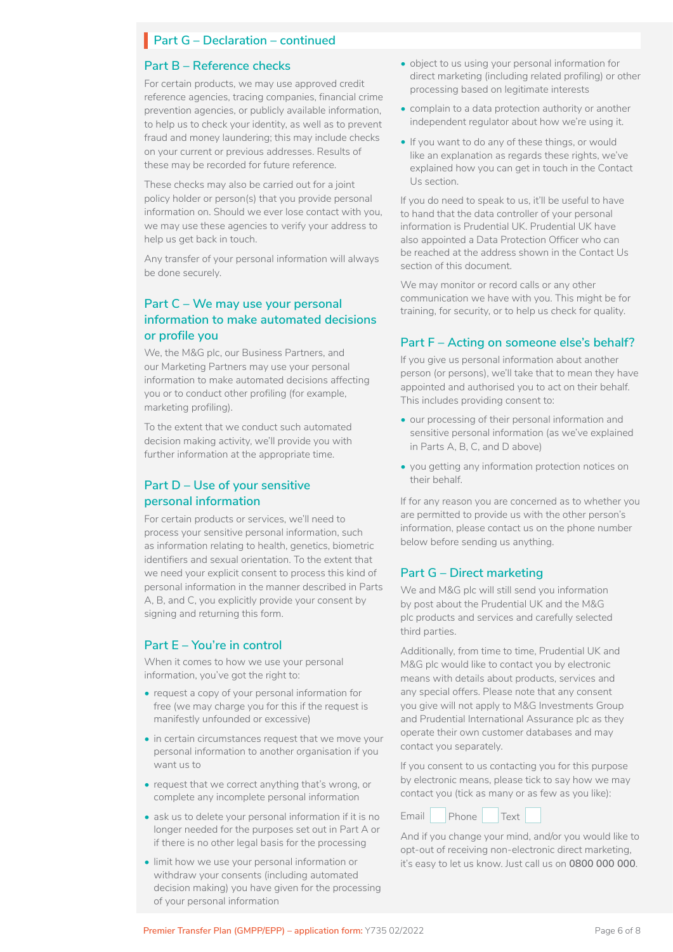### **Part G – Declaration – continued**

#### **Part B – Reference checks**

For certain products, we may use approved credit reference agencies, tracing companies, financial crime prevention agencies, or publicly available information, to help us to check your identity, as well as to prevent fraud and money laundering; this may include checks on your current or previous addresses. Results of these may be recorded for future reference.

These checks may also be carried out for a joint policy holder or person(s) that you provide personal information on. Should we ever lose contact with you, we may use these agencies to verify your address to help us get back in touch.

Any transfer of your personal information will always be done securely.

### **Part C – We may use your personal information to make automated decisions or profile you**

We, the M&G plc, our Business Partners, and our Marketing Partners may use your personal information to make automated decisions affecting you or to conduct other profiling (for example, marketing profiling).

To the extent that we conduct such automated decision making activity, we'll provide you with further information at the appropriate time.

### **Part D – Use of your sensitive personal information**

For certain products or services, we'll need to process your sensitive personal information, such as information relating to health, genetics, biometric identifiers and sexual orientation. To the extent that we need your explicit consent to process this kind of personal information in the manner described in Parts A, B, and C, you explicitly provide your consent by signing and returning this form.

#### **Part E – You're in control**

When it comes to how we use your personal information, you've got the right to:

- request a copy of your personal information for free (we may charge you for this if the request is manifestly unfounded or excessive)
- in certain circumstances request that we move your personal information to another organisation if you want us to
- request that we correct anything that's wrong, or complete any incomplete personal information
- ask us to delete your personal information if it is no longer needed for the purposes set out in Part A or if there is no other legal basis for the processing
- limit how we use your personal information or withdraw your consents (including automated decision making) you have given for the processing of your personal information
- object to us using your personal information for direct marketing (including related profiling) or other processing based on legitimate interests
- complain to a data protection authority or another independent regulator about how we're using it.
- If you want to do any of these things, or would like an explanation as regards these rights, we've explained how you can get in touch in the Contact Us section.

If you do need to speak to us, it'll be useful to have to hand that the data controller of your personal information is Prudential UK. Prudential UK have also appointed a Data Protection Officer who can be reached at the address shown in the Contact Us section of this document.

We may monitor or record calls or any other communication we have with you. This might be for training, for security, or to help us check for quality.

### **Part F – Acting on someone else's behalf?**

If you give us personal information about another person (or persons), we'll take that to mean they have appointed and authorised you to act on their behalf. This includes providing consent to:

- our processing of their personal information and sensitive personal information (as we've explained in Parts A, B, C, and D above)
- you getting any information protection notices on their behalf.

If for any reason you are concerned as to whether you are permitted to provide us with the other person's information, please contact us on the phone number below before sending us anything.

### **Part G – Direct marketing**

We and M&G plc will still send you information by post about the Prudential UK and the M&G plc products and services and carefully selected third parties.

Additionally, from time to time, Prudential UK and M&G plc would like to contact you by electronic means with details about products, services and any special offers. Please note that any consent you give will not apply to M&G Investments Group and Prudential International Assurance plc as they operate their own customer databases and may contact you separately.

If you consent to us contacting you for this purpose by electronic means, please tick to say how we may contact you (tick as many or as few as you like):



And if you change your mind, and/or you would like to opt-out of receiving non-electronic direct marketing, it's easy to let us know. Just call us on **0800 000 000**.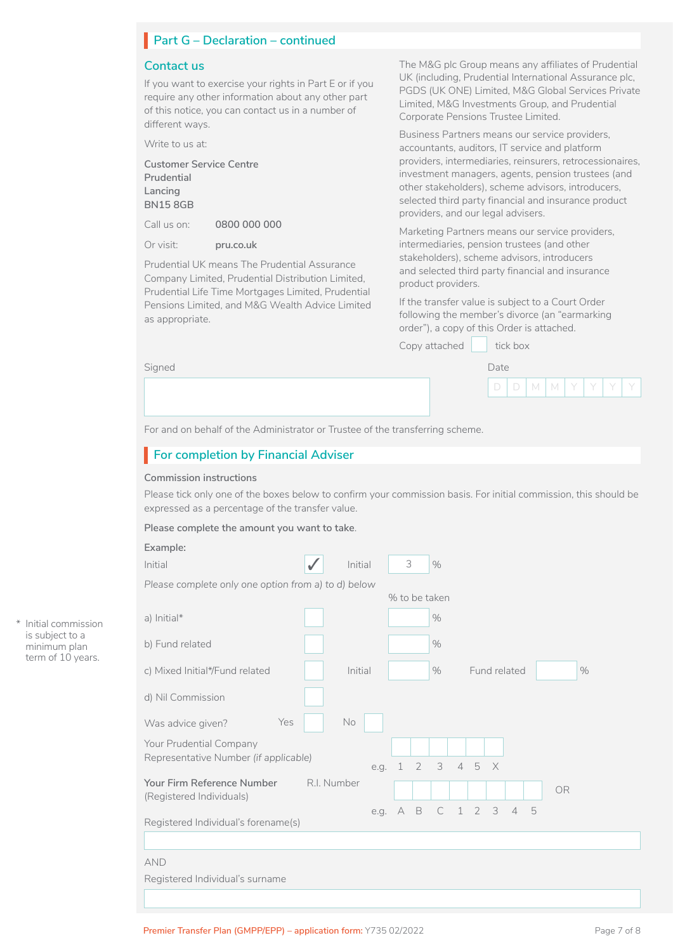# **Part G – Declaration – continued**

#### **Contact us**

If you want to exercise your rights in Part E or if you require any other information about any other part of this notice, you can contact us in a number of different ways.

Write to us at:

**Customer Service Centre Prudential Lancing BN15 8GB**

Call us on: **0800 000 000**

Or visit: **[pru.co.uk](https://www.pru.co.uk/)**

Prudential UK means The Prudential Assurance Company Limited, Prudential Distribution Limited, Prudential Life Time Mortgages Limited, Prudential Pensions Limited, and M&G Wealth Advice Limited as appropriate.

The M&G plc Group means any affiliates of Prudential UK (including, Prudential International Assurance plc, PGDS (UK ONE) Limited, M&G Global Services Private Limited, M&G Investments Group, and Prudential Corporate Pensions Trustee Limited.

Business Partners means our service providers, accountants, auditors, IT service and platform providers, intermediaries, reinsurers, retrocessionaires, investment managers, agents, pension trustees (and other stakeholders), scheme advisors, introducers, selected third party financial and insurance product providers, and our legal advisers.

Marketing Partners means our service providers, intermediaries, pension trustees (and other stakeholders), scheme advisors, introducers and selected third party financial and insurance product providers.

If the transfer value is subject to a Court Order following the member's divorce (an "earmarking order"), a copy of this Order is attached.

Copy attached tick box

| Sianed | Date |
|--------|------|
|--------|------|

| Date |   |   |  |  |
|------|---|---|--|--|
|      | М | М |  |  |

For and on behalf of the Administrator or Trustee of the transferring scheme.

# **For completion by Financial Adviser**

#### **Commission instructions**

Please tick only one of the boxes below to confirm your commission basis. For initial commission, this should be expressed as a percentage of the transfer value.

**Please complete the amount you want to take**.

| Example:                                            |             |      |               |                                 |               |              |                |   |                |   |           |      |
|-----------------------------------------------------|-------------|------|---------------|---------------------------------|---------------|--------------|----------------|---|----------------|---|-----------|------|
| Initial                                             | Initial     |      | 3             |                                 | $\frac{0}{0}$ |              |                |   |                |   |           |      |
| Please complete only one option from a) to d) below |             |      |               |                                 |               |              |                |   |                |   |           |      |
|                                                     |             |      | % to be taken |                                 |               |              |                |   |                |   |           |      |
| a) Initial $*$                                      |             |      |               |                                 | $\frac{0}{0}$ |              |                |   |                |   |           |      |
| b) Fund related                                     |             |      |               |                                 | $\frac{0}{0}$ |              |                |   |                |   |           |      |
| c) Mixed Initial*/Fund related                      | Initial     |      |               |                                 | $\frac{0}{0}$ |              |                |   | Fund related   |   |           | $\%$ |
| d) Nil Commission                                   |             |      |               |                                 |               |              |                |   |                |   |           |      |
| Yes<br>Was advice given?                            | No          |      |               |                                 |               |              |                |   |                |   |           |      |
| Your Prudential Company                             |             |      |               |                                 |               |              |                |   |                |   |           |      |
| Representative Number (if applicable)               |             |      | e.g. 1        | $\overline{4}$<br>3<br>2<br>5 X |               |              |                |   |                |   |           |      |
| Your Firm Reference Number                          | R.I. Number |      |               |                                 |               |              |                |   |                |   | <b>OR</b> |      |
| (Registered Individuals)                            |             | e.g. | A B           |                                 | $\mathsf{C}$  | $\mathbf{1}$ | $\overline{2}$ | 3 | $\overline{4}$ | 5 |           |      |
| Registered Individual's forename(s)                 |             |      |               |                                 |               |              |                |   |                |   |           |      |
|                                                     |             |      |               |                                 |               |              |                |   |                |   |           |      |
| <b>AND</b>                                          |             |      |               |                                 |               |              |                |   |                |   |           |      |
| Registered Individual's surname                     |             |      |               |                                 |               |              |                |   |                |   |           |      |
|                                                     |             |      |               |                                 |               |              |                |   |                |   |           |      |

\* Initial commission is subject to a minimum plan term of 10 years.